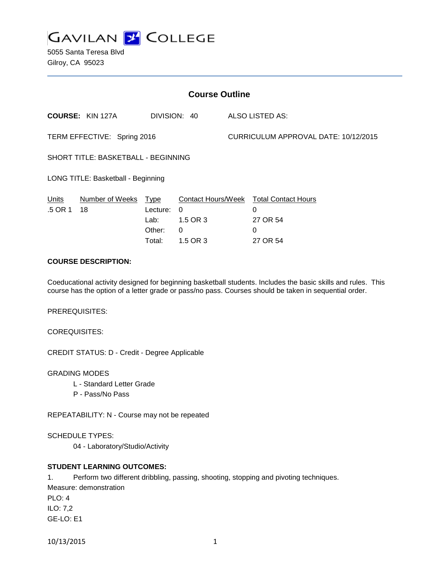

5055 Santa Teresa Blvd Gilroy, CA 95023

| <b>Course Outline</b>               |                         |                                                     |                                                             |                                      |                                                                     |
|-------------------------------------|-------------------------|-----------------------------------------------------|-------------------------------------------------------------|--------------------------------------|---------------------------------------------------------------------|
|                                     | <b>COURSE: KIN 127A</b> | DIVISION: 40                                        |                                                             |                                      | ALSO LISTED AS:                                                     |
| TERM EFFECTIVE: Spring 2016         |                         |                                                     |                                                             | CURRICULUM APPROVAL DATE: 10/12/2015 |                                                                     |
| SHORT TITLE: BASKETBALL - BEGINNING |                         |                                                     |                                                             |                                      |                                                                     |
| LONG TITLE: Basketball - Beginning  |                         |                                                     |                                                             |                                      |                                                                     |
| Units<br>.5 OR 1                    | Number of Weeks<br>18   | <u>Type</u><br>Lecture:<br>Lab:<br>Other:<br>Total: | Contact Hours/Week<br>0<br>1.5 OR 3<br>$\Omega$<br>1.5 OR 3 |                                      | <b>Total Contact Hours</b><br>0<br>27 OR 54<br>$\Omega$<br>27 OR 54 |

# **COURSE DESCRIPTION:**

Coeducational activity designed for beginning basketball students. Includes the basic skills and rules. This course has the option of a letter grade or pass/no pass. Courses should be taken in sequential order.

PREREQUISITES:

COREQUISITES:

CREDIT STATUS: D - Credit - Degree Applicable

GRADING MODES

- L Standard Letter Grade
- P Pass/No Pass

REPEATABILITY: N - Course may not be repeated

SCHEDULE TYPES:

04 - Laboratory/Studio/Activity

## **STUDENT LEARNING OUTCOMES:**

1. Perform two different dribbling, passing, shooting, stopping and pivoting techniques. Measure: demonstration PLO: 4 ILO: 7,2 GE-LO: E1

10/13/2015 1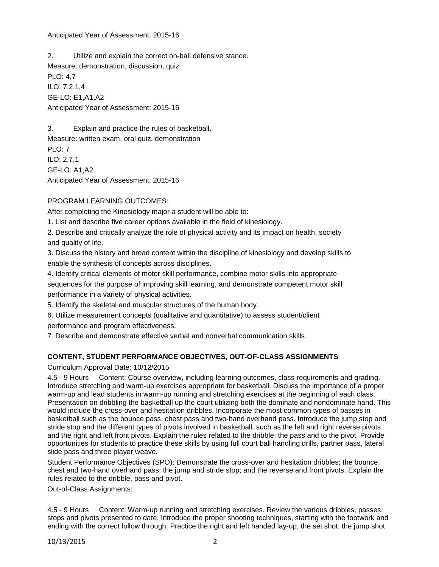### Anticipated Year of Assessment: 2015-16

2. Utilize and explain the correct on-ball defensive stance. Measure: demonstration, discussion, quiz PLO: 4,7 ILO: 7,2,1,4 GE-LO: E1,A1,A2 Anticipated Year of Assessment: 2015-16

3. Explain and practice the rules of basketball. Measure: written exam, oral quiz, demonstration PLO: 7 ILO: 2,7,1 GE-LO: A1,A2 Anticipated Year of Assessment: 2015-16

# PROGRAM LEARNING OUTCOMES:

After completing the Kinesiology major a student will be able to:

1. List and describe five career options available in the field of kinesiology.

2. Describe and critically analyze the role of physical activity and its impact on health, society and quality of life.

3. Discuss the history and broad content within the discipline of kinesiology and develop skills to enable the synthesis of concepts across disciplines.

4. Identify critical elements of motor skill performance, combine motor skills into appropriate sequences for the purpose of improving skill learning, and demonstrate competent motor skill performance in a variety of physical activities.

5. Identify the skeletal and muscular structures of the human body.

6. Utilize measurement concepts (qualitative and quantitative) to assess student/client performance and program effectiveness.

7. Describe and demonstrate effective verbal and nonverbal communication skills.

## **CONTENT, STUDENT PERFORMANCE OBJECTIVES, OUT-OF-CLASS ASSIGNMENTS**

Curriculum Approval Date: 10/12/2015

4.5 - 9 Hours Content: Course overview, including learning outcomes, class requirements and grading. Introduce stretching and warm-up exercises appropriate for basketball. Discuss the importance of a proper warm-up and lead students in warm-up running and stretching exercises at the beginning of each class. Presentation on dribbling the basketball up the court utilizing both the dominate and nondominate hand. This would include the cross-over and hesitation dribbles. Incorporate the most common types of passes in basketball such as the bounce pass, chest pass and two-hand overhand pass. Introduce the jump stop and stride stop and the different types of pivots involved in basketball, such as the left and right reverse pivots and the right and left front pivots. Explain the rules related to the dribble, the pass and to the pivot. Provide opportunities for students to practice these skills by using full court ball handling drills, partner pass, lateral slide pass and three player weave.

Student Performance Objectives (SPO): Demonstrate the cross-over and hesitation dribbles; the bounce, chest and two-hand overhand pass; the jump and stride stop; and the reverse and front pivots. Explain the rules related to the dribble, pass and pivot.

Out-of-Class Assignments:

4.5 - 9 Hours Content: Warm-up running and stretching exercises. Review the various dribbles, passes, stops and pivots presented to date. Introduce the proper shooting techniques, starting with the footwork and ending with the correct follow through. Practice the right and left handed lay-up, the set shot, the jump shot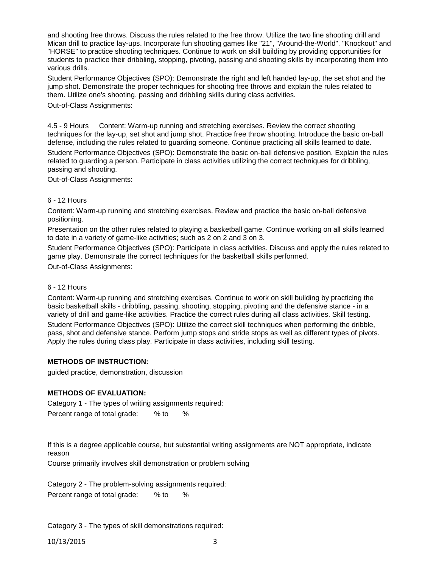and shooting free throws. Discuss the rules related to the free throw. Utilize the two line shooting drill and Mican drill to practice lay-ups. Incorporate fun shooting games like "21", "Around-the-World". "Knockout" and "HORSE" to practice shooting techniques. Continue to work on skill building by providing opportunities for students to practice their dribbling, stopping, pivoting, passing and shooting skills by incorporating them into various drills.

Student Performance Objectives (SPO): Demonstrate the right and left handed lay-up, the set shot and the jump shot. Demonstrate the proper techniques for shooting free throws and explain the rules related to them. Utilize one's shooting, passing and dribbling skills during class activities.

Out-of-Class Assignments:

4.5 - 9 Hours Content: Warm-up running and stretching exercises. Review the correct shooting techniques for the lay-up, set shot and jump shot. Practice free throw shooting. Introduce the basic on-ball defense, including the rules related to guarding someone. Continue practicing all skills learned to date. Student Performance Objectives (SPO): Demonstrate the basic on-ball defensive position. Explain the rules related to guarding a person. Participate in class activities utilizing the correct techniques for dribbling, passing and shooting.

Out-of-Class Assignments:

### 6 - 12 Hours

Content: Warm-up running and stretching exercises. Review and practice the basic on-ball defensive positioning.

Presentation on the other rules related to playing a basketball game. Continue working on all skills learned to date in a variety of game-like activities; such as 2 on 2 and 3 on 3.

Student Performance Objectives (SPO): Participate in class activities. Discuss and apply the rules related to game play. Demonstrate the correct techniques for the basketball skills performed. Out-of-Class Assignments:

#### 6 - 12 Hours

Content: Warm-up running and stretching exercises. Continue to work on skill building by practicing the basic basketball skills - dribbling, passing, shooting, stopping, pivoting and the defensive stance - in a variety of drill and game-like activities. Practice the correct rules during all class activities. Skill testing.

Student Performance Objectives (SPO): Utilize the correct skill techniques when performing the dribble, pass, shot and defensive stance. Perform jump stops and stride stops as well as different types of pivots. Apply the rules during class play. Participate in class activities, including skill testing.

## **METHODS OF INSTRUCTION:**

guided practice, demonstration, discussion

#### **METHODS OF EVALUATION:**

Category 1 - The types of writing assignments required: Percent range of total grade: % to %

If this is a degree applicable course, but substantial writing assignments are NOT appropriate, indicate reason

Course primarily involves skill demonstration or problem solving

Category 2 - The problem-solving assignments required: Percent range of total grade: % to %

Category 3 - The types of skill demonstrations required: